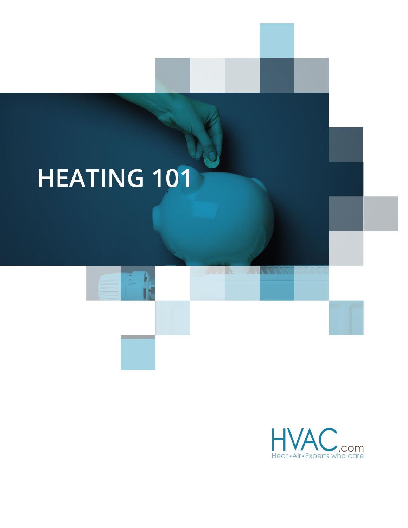# **HEATING 101**

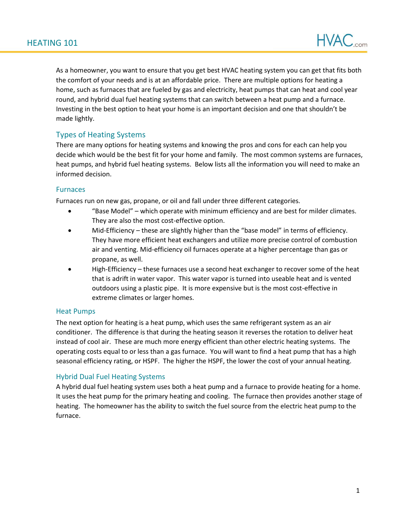

As a homeowner, you want to ensure that you get best HVAC heating system you can get that fits both the comfort of your needs and is at an affordable price. There are multiple options for heating a home, such as furnaces that are fueled by gas and electricity, heat pumps that can heat and cool year round, and hybrid dual fuel heating systems that can switch between a heat pump and a furnace. Investing in the best option to heat your home is an important decision and one that shouldn't be made lightly.

## Types of Heating Systems

There are many options for heating systems and knowing the pros and cons for each can help you decide which would be the best fit for your home and family. The most common systems are furnaces, heat pumps, and hybrid fuel heating systems. Below lists all the information you will need to make an informed decision.

#### Furnaces

Furnaces run on new gas, propane, or oil and fall under three different categories.

- "Base Model" which operate with minimum efficiency and are best for milder climates. They are also the most cost-effective option.
- Mid-Efficiency these are slightly higher than the "base model" in terms of efficiency. They have more efficient heat exchangers and utilize more precise control of combustion air and venting. Mid-efficiency oil furnaces operate at a higher percentage than gas or propane, as well.
- High-Efficiency these furnaces use a second heat exchanger to recover some of the heat that is adrift in water vapor. This water vapor is turned into useable heat and is vented outdoors using a plastic pipe. It is more expensive but is the most cost-effective in extreme climates or larger homes.

### Heat Pumps

The next option for heating is a heat pump, which uses the same refrigerant system as an air conditioner. The difference is that during the heating season it reverses the rotation to deliver heat instead of cool air. These are much more energy efficient than other electric heating systems. The operating costs equal to or less than a gas furnace. You will want to find a heat pump that has a high seasonal efficiency rating, or HSPF. The higher the HSPF, the lower the cost of your annual heating.

### Hybrid Dual Fuel Heating Systems

A hybrid dual fuel heating system uses both a heat pump and a furnace to provide heating for a home. It uses the heat pump for the primary heating and cooling. The furnace then provides another stage of heating. The homeowner has the ability to switch the fuel source from the electric heat pump to the furnace.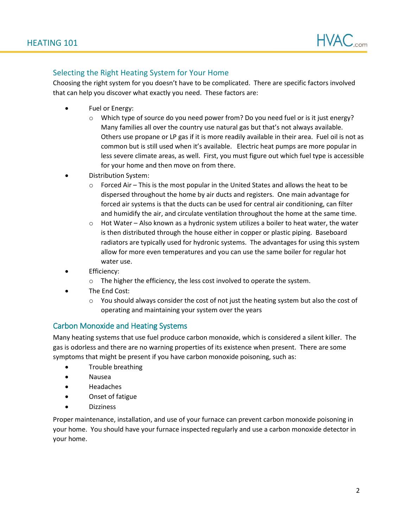

## Selecting the Right Heating System for Your Home

with Choosing the right system for you doesn't have to be complicated. There are specific factors involved that can help you discover what exactly you need. These factors are:

- Fuel or Energy:
	- $\circ$  Which type of source do you need power from? Do you need fuel or is it just energy? Many families all over the country use natural gas but that's not always available. Others use propane or LP gas if it is more readily available in their area. Fuel oil is not as common but is still used when it's available. Electric heat pumps are more popular in less severe climate areas, as well. First, you must figure out which fuel type is accessible for your home and then move on from there.
- Distribution System:
	- $\circ$  Forced Air This is the most popular in the United States and allows the heat to be dispersed throughout the home by air ducts and registers. One main advantage for forced air systems is that the ducts can be used for central air conditioning, can filter and humidify the air, and circulate ventilation throughout the home at the same time.
	- $\circ$  Hot Water Also known as a hydronic system utilizes a boiler to heat water, the water is then distributed through the house either in copper or plastic piping. Baseboard radiators are typically used for hydronic systems. The advantages for using this system allow for more even temperatures and you can use the same boiler for regular hot water use.
- **Efficiency:** 
	- o The higher the efficiency, the less cost involved to operate the system.
- The End Cost:
	- $\circ$  You should always consider the cost of not just the heating system but also the cost of operating and maintaining your system over the years

### Carbon Monoxide and Heating Systems

Many heating systems that use fuel produce carbon monoxide, which is considered a silent killer. The gas is odorless and there are no warning properties of its existence when present. There are some symptoms that might be present if you have carbon monoxide poisoning, such as:

- Trouble breathing
- Nausea
- Headaches
- Onset of fatigue
- **Dizziness**

Proper maintenance, installation, and use of your furnace can prevent carbon monoxide poisoning in your home. You should have your furnace inspected regularly and use a carbon monoxide detector in your home.